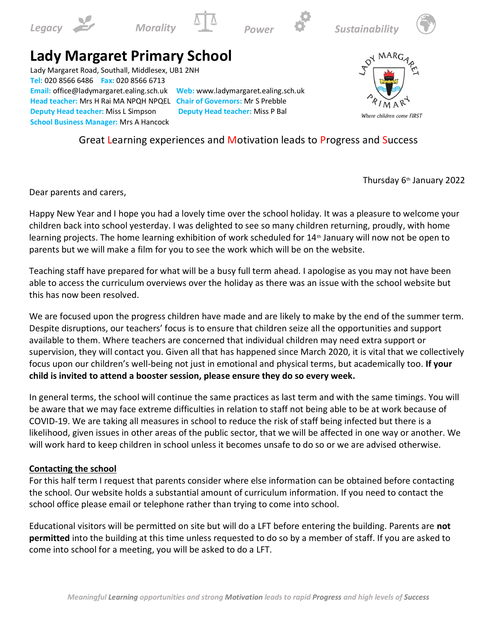







# **Lady Margaret Primary School**

Lady Margaret Road, Southall, Middlesex, UB1 2NH **Tel:** 020 8566 6486 **Fax:** 020 8566 6713 **Email:** office@ladymargaret.ealing.sch.uk **Web:** www.ladymargaret.ealing.sch.uk **Head teacher:** Mrs H Rai MA NPQH NPQEL **Chair of Governors:** Mr S Prebble **Deputy Head teacher:** Miss L Simpson **Deputy Head teacher:** Miss P Bal **School Business Manager:** Mrs A Hancock



Great Learning experiences and Motivation leads to Progress and Success

Thursday 6th January 2022

Dear parents and carers,

Happy New Year and I hope you had a lovely time over the school holiday. It was a pleasure to welcome your children back into school yesterday. I was delighted to see so many children returning, proudly, with home learning projects. The home learning exhibition of work scheduled for 14<sup>th</sup> January will now not be open to parents but we will make a film for you to see the work which will be on the website.

Teaching staff have prepared for what will be a busy full term ahead. I apologise as you may not have been able to access the curriculum overviews over the holiday as there was an issue with the school website but this has now been resolved.

We are focused upon the progress children have made and are likely to make by the end of the summer term. Despite disruptions, our teachers' focus is to ensure that children seize all the opportunities and support available to them. Where teachers are concerned that individual children may need extra support or supervision, they will contact you. Given all that has happened since March 2020, it is vital that we collectively focus upon our children's well-being not just in emotional and physical terms, but academically too. **If your child is invited to attend a booster session, please ensure they do so every week.**

In general terms, the school will continue the same practices as last term and with the same timings. You will be aware that we may face extreme difficulties in relation to staff not being able to be at work because of COVID-19. We are taking all measures in school to reduce the risk of staff being infected but there is a likelihood, given issues in other areas of the public sector, that we will be affected in one way or another. We will work hard to keep children in school unless it becomes unsafe to do so or we are advised otherwise.

# **Contacting the school**

For this half term I request that parents consider where else information can be obtained before contacting the school. Our website holds a substantial amount of curriculum information. If you need to contact the school office please email or telephone rather than trying to come into school.

Educational visitors will be permitted on site but will do a LFT before entering the building. Parents are **not permitted** into the building at this time unless requested to do so by a member of staff. If you are asked to come into school for a meeting, you will be asked to do a LFT.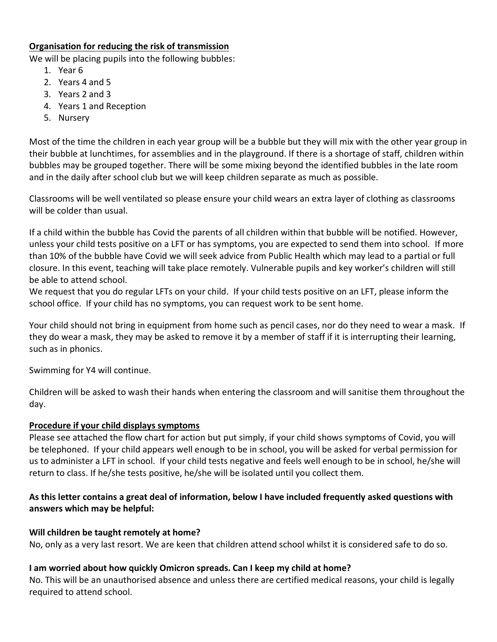## **Organisation for reducing the risk of transmission**

We will be placing pupils into the following bubbles:

- 1. Year 6
- 2. Years 4 and 5
- 3. Years 2 and 3
- 4. Years 1 and Reception
- 5. Nursery

Most of the time the children in each year group will be a bubble but they will mix with the other year group in their bubble at lunchtimes, for assemblies and in the playground. If there is a shortage of staff, children within bubbles may be grouped together. There will be some mixing beyond the identified bubbles in the late room and in the daily after school club but we will keep children separate as much as possible.

Classrooms will be well ventilated so please ensure your child wears an extra layer of clothing as classrooms will be colder than usual.

If a child within the bubble has Covid the parents of all children within that bubble will be notified. However, unless your child tests positive on a LFT or has symptoms, you are expected to send them into school. If more than 10% of the bubble have Covid we will seek advice from Public Health which may lead to a partial or full closure. In this event, teaching will take place remotely. Vulnerable pupils and key worker's children will still be able to attend school.

We request that you do regular LFTs on your child. If your child tests positive on an LFT, please inform the school office. If your child has no symptoms, you can request work to be sent home.

Your child should not bring in equipment from home such as pencil cases, nor do they need to wear a mask. If they do wear a mask, they may be asked to remove it by a member of staff if it is interrupting their learning, such as in phonics.

Swimming for Y4 will continue.

Children will be asked to wash their hands when entering the classroom and will sanitise them throughout the day.

### **Procedure if your child displays symptoms**

Please see attached the flow chart for action but put simply, if your child shows symptoms of Covid, you will be telephoned. If your child appears well enough to be in school, you will be asked for verbal permission for us to administer a LFT in school. If your child tests negative and feels well enough to be in school, he/she will return to class. If he/she tests positive, he/she will be isolated until you collect them.

# **As this letter contains a great deal of information, below I have included frequently asked questions with answers which may be helpful:**

### **Will children be taught remotely at home?**

No, only as a very last resort. We are keen that children attend school whilst it is considered safe to do so.

# **I am worried about how quickly Omicron spreads. Can I keep my child at home?**

No. This will be an unauthorised absence and unless there are certified medical reasons, your child is legally required to attend school.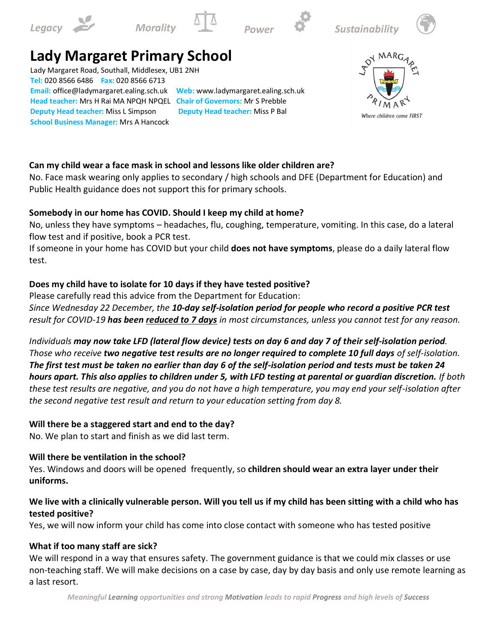







# **Lady Margaret Primary School**

Lady Margaret Road, Southall, Middlesex, UB1 2NH **Tel:** 020 8566 6486 **Fax:** 020 8566 6713 **Email:** office@ladymargaret.ealing.sch.uk **Web:** www.ladymargaret.ealing.sch.uk **Head teacher:** Mrs H Rai MA NPQH NPQEL **Chair of Governors:** Mr S Prebble **Deputy Head teacher:** Miss L Simpson **Deputy Head teacher:** Miss P Bal **School Business Manager:** Mrs A Hancock



# **Can my child wear a face mask in school and lessons like older children are?**

No. Face mask wearing only applies to secondary / high schools and DFE (Department for Education) and Public Health guidance does not support this for primary schools.

### **Somebody in our home has COVID. Should I keep my child at home?**

No, unless they have symptoms – headaches, flu, coughing, temperature, vomiting. In this case, do a lateral flow test and if positive, book a PCR test.

If someone in your home has COVID but your child **does not have symptoms**, please do a daily lateral flow test.

# **Does my child have to isolate for 10 days if they have tested positive?**

Please carefully read this advice from the Department for Education:

*Since Wednesday 22 December, the 10-day self-isolation period for people who record a positive PCR test result for COVID-19 has been reduced to 7 days in most circumstances, unless you cannot test for any reason.*

*Individuals may now take LFD (lateral flow device) tests on day 6 and day 7 of their self-isolation period. Those who receive two negative test results are no longer required to complete 10 full days of self-isolation. The first test must be taken no earlier than day 6 of the self-isolation period and tests must be taken 24 hours apart. This also applies to children under 5, with LFD testing at parental or guardian discretion. If both these test results are negative, and you do not have a high temperature, you may end your self-isolation after the second negative test result and return to your education setting from day 8.*

### **Will there be a staggered start and end to the day?**

No. We plan to start and finish as we did last term.

### **Will there be ventilation in the school?**

Yes. Windows and doors will be opened frequently, so **children should wear an extra layer under their uniforms.**

# **We live with a clinically vulnerable person. Will you tell us if my child has been sitting with a child who has tested positive?**

Yes, we will now inform your child has come into close contact with someone who has tested positive

# **What if too many staff are sick?**

We will respond in a way that ensures safety. The government guidance is that we could mix classes or use non-teaching staff. We will make decisions on a case by case, day by day basis and only use remote learning as a last resort.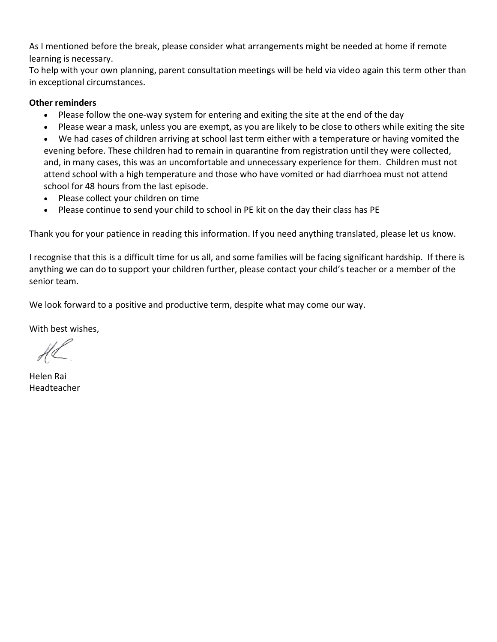As I mentioned before the break, please consider what arrangements might be needed at home if remote learning is necessary.

To help with your own planning, parent consultation meetings will be held via video again this term other than in exceptional circumstances.

## **Other reminders**

- Please follow the one-way system for entering and exiting the site at the end of the day
- Please wear a mask, unless you are exempt, as you are likely to be close to others while exiting the site
- We had cases of children arriving at school last term either with a temperature or having vomited the evening before. These children had to remain in quarantine from registration until they were collected, and, in many cases, this was an uncomfortable and unnecessary experience for them. Children must not attend school with a high temperature and those who have vomited or had diarrhoea must not attend school for 48 hours from the last episode.
- Please collect your children on time
- Please continue to send your child to school in PE kit on the day their class has PE

Thank you for your patience in reading this information. If you need anything translated, please let us know.

I recognise that this is a difficult time for us all, and some families will be facing significant hardship. If there is anything we can do to support your children further, please contact your child's teacher or a member of the senior team.

We look forward to a positive and productive term, despite what may come our way.

With best wishes,

Helen Rai Headteacher